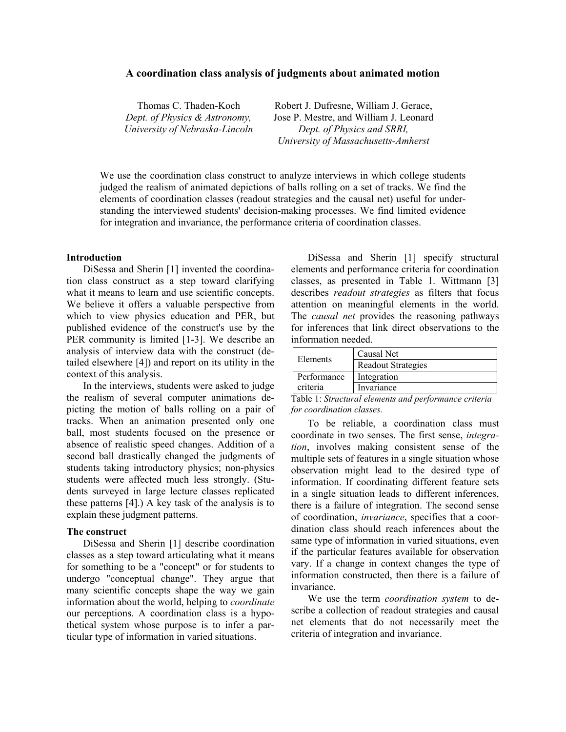### **A coordination class analysis of judgments about animated motion**

| Thomas C. Thaden-Koch          |
|--------------------------------|
| Dept. of Physics & Astronomy,  |
| University of Nebraska-Lincoln |

Robert J. Dufresne, William J. Gerace, Jose P. Mestre, and William J. Leonard *Dept. of Physics and SRRI, University of Massachusetts-Amherst*

We use the coordination class construct to analyze interviews in which college students judged the realism of animated depictions of balls rolling on a set of tracks. We find the elements of coordination classes (readout strategies and the causal net) useful for understanding the interviewed students' decision-making processes. We find limited evidence for integration and invariance, the performance criteria of coordination classes.

### **Introduction**

 DiSessa and Sherin [1] invented the coordination class construct as a step toward clarifying what it means to learn and use scientific concepts. We believe it offers a valuable perspective from which to view physics education and PER, but published evidence of the construct's use by the PER community is limited [1-3]. We describe an analysis of interview data with the construct (detailed elsewhere [4]) and report on its utility in the context of this analysis.

 In the interviews, students were asked to judge the realism of several computer animations depicting the motion of balls rolling on a pair of tracks. When an animation presented only one ball, most students focused on the presence or absence of realistic speed changes. Addition of a second ball drastically changed the judgments of students taking introductory physics; non-physics students were affected much less strongly. (Students surveyed in large lecture classes replicated these patterns [4].) A key task of the analysis is to explain these judgment patterns.

#### **The construct**

 DiSessa and Sherin [1] describe coordination classes as a step toward articulating what it means for something to be a "concept" or for students to undergo "conceptual change". They argue that many scientific concepts shape the way we gain information about the world, helping to *coordinate* our perceptions. A coordination class is a hypothetical system whose purpose is to infer a particular type of information in varied situations.

 DiSessa and Sherin [1] specify structural elements and performance criteria for coordination classes, as presented in Table 1. Wittmann [3] describes *readout strategies* as filters that focus attention on meaningful elements in the world. The *causal net* provides the reasoning pathways for inferences that link direct observations to the information needed.

| Causal Net                |
|---------------------------|
| <b>Readout Strategies</b> |
| Integration               |
| Invariance                |
|                           |

Table 1: *Structural elements and performance criteria for coordination classes.*

 To be reliable, a coordination class must coordinate in two senses. The first sense, *integration*, involves making consistent sense of the multiple sets of features in a single situation whose observation might lead to the desired type of information. If coordinating different feature sets in a single situation leads to different inferences, there is a failure of integration. The second sense of coordination, *invariance*, specifies that a coordination class should reach inferences about the same type of information in varied situations, even if the particular features available for observation vary. If a change in context changes the type of information constructed, then there is a failure of invariance.

 We use the term *coordination system* to describe a collection of readout strategies and causal net elements that do not necessarily meet the criteria of integration and invariance.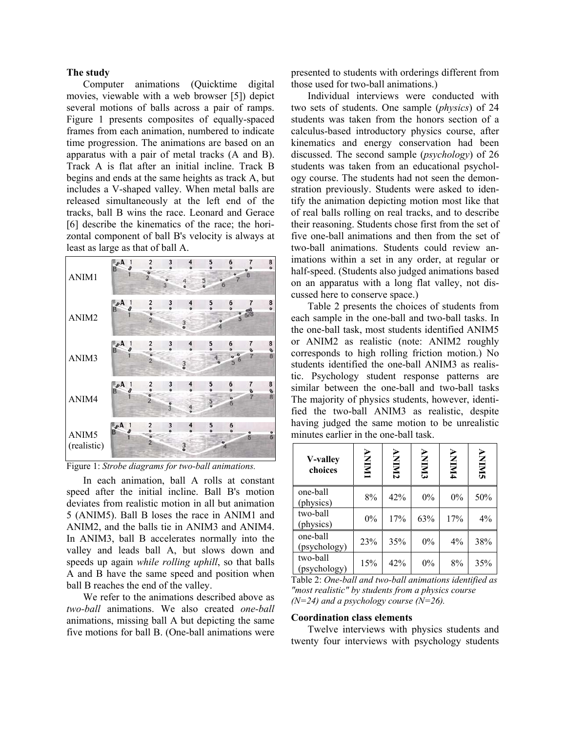### **The study**

 Computer animations (Quicktime digital movies, viewable with a web browser [5]) depict several motions of balls across a pair of ramps. Figure 1 presents composites of equally-spaced frames from each animation, numbered to indicate time progression. The animations are based on an apparatus with a pair of metal tracks (A and B). Track A is flat after an initial incline. Track B begins and ends at the same heights as track A, but includes a V-shaped valley. When metal balls are released simultaneously at the left end of the tracks, ball B wins the race. Leonard and Gerace [6] describe the kinematics of the race; the horizontal component of ball B's velocity is always at least as large as that of ball A.



Figure 1: *Strobe diagrams for two-ball animations.*

 In each animation, ball A rolls at constant speed after the initial incline. Ball B's motion deviates from realistic motion in all but animation 5 (ANIM5). Ball B loses the race in ANIM1 and ANIM2, and the balls tie in ANIM3 and ANIM4. In ANIM3, ball B accelerates normally into the valley and leads ball A, but slows down and speeds up again *while rolling uphill*, so that balls A and B have the same speed and position when ball B reaches the end of the valley.

 We refer to the animations described above as *two-ball* animations. We also created *one-ball* animations, missing ball A but depicting the same five motions for ball B. (One-ball animations were presented to students with orderings different from those used for two-ball animations.)

 Individual interviews were conducted with two sets of students. One sample (*physics*) of 24 students was taken from the honors section of a calculus-based introductory physics course, after kinematics and energy conservation had been discussed. The second sample (*psychology*) of 26 students was taken from an educational psychology course. The students had not seen the demonstration previously. Students were asked to identify the animation depicting motion most like that of real balls rolling on real tracks, and to describe their reasoning. Students chose first from the set of five one-ball animations and then from the set of two-ball animations. Students could review animations within a set in any order, at regular or half-speed. (Students also judged animations based on an apparatus with a long flat valley, not discussed here to conserve space.)

 Table 2 presents the choices of students from each sample in the one-ball and two-ball tasks. In the one-ball task, most students identified ANIM5 or ANIM2 as realistic (note: ANIM2 roughly corresponds to high rolling friction motion.) No students identified the one-ball ANIM3 as realistic. Psychology student response patterns are similar between the one-ball and two-ball tasks The majority of physics students, however, identified the two-ball ANIM3 as realistic, despite having judged the same motion to be unrealistic minutes earlier in the one-ball task.

| V-valley<br>choices      | <b>ININY</b> | <b>ANIMI</b> | <b>ENINY</b> | <b>ANIMA</b> | <b>ANIMS</b> |
|--------------------------|--------------|--------------|--------------|--------------|--------------|
| one-ball<br>(physics)    | 8%           | 42%          | 0%           | 0%           | 50%          |
| two-ball<br>(physics)    | 0%           | 17%          | 63%          | 17%          | 4%           |
| one-ball<br>(psychology) | 23%          | 35%          | 0%           | 4%           | 38%          |
| two-ball<br>(psychology) | 15%          | 42%          | 0%           | 8%           | 35%          |

Table 2: *One-ball and two-ball animations identified as "most realistic" by students from a physics course (N=24) and a psychology course (N=26).*

## **Coordination class elements**

 Twelve interviews with physics students and twenty four interviews with psychology students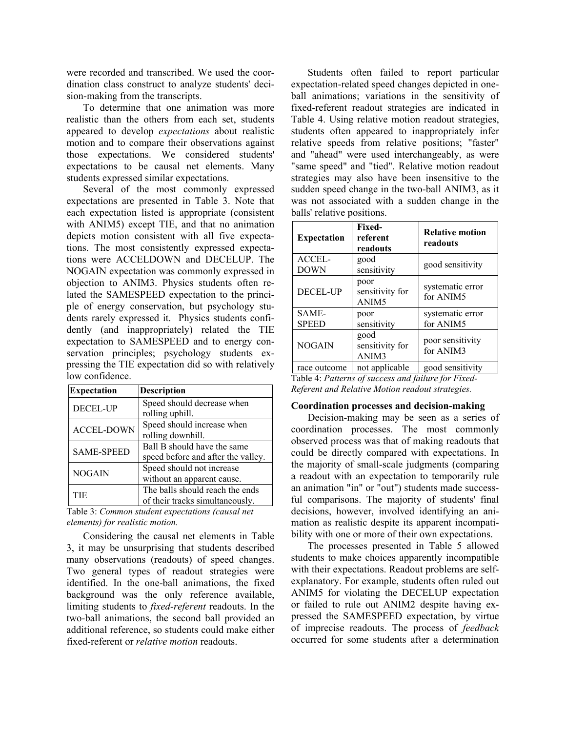were recorded and transcribed. We used the coordination class construct to analyze students' decision-making from the transcripts.

 To determine that one animation was more realistic than the others from each set, students appeared to develop *expectations* about realistic motion and to compare their observations against those expectations. We considered students' expectations to be causal net elements. Many students expressed similar expectations.

 Several of the most commonly expressed expectations are presented in Table 3. Note that each expectation listed is appropriate (consistent with ANIM5) except TIE, and that no animation depicts motion consistent with all five expectations. The most consistently expressed expectations were ACCELDOWN and DECELUP. The NOGAIN expectation was commonly expressed in objection to ANIM3. Physics students often related the SAMESPEED expectation to the principle of energy conservation, but psychology students rarely expressed it. Physics students confidently (and inappropriately) related the TIE expectation to SAMESPEED and to energy conservation principles; psychology students expressing the TIE expectation did so with relatively low confidence.

| <b>Expectation</b> | <b>Description</b>                                                 |
|--------------------|--------------------------------------------------------------------|
| <b>DECEL-UP</b>    | Speed should decrease when<br>rolling uphill.                      |
| <b>ACCEL-DOWN</b>  | Speed should increase when<br>rolling downhill.                    |
| <b>SAME-SPEED</b>  | Ball B should have the same<br>speed before and after the valley.  |
| <b>NOGAIN</b>      | Speed should not increase<br>without an apparent cause.            |
| TIE                | The balls should reach the ends<br>of their tracks simultaneously. |

Table 3: *Common student expectations (causal net elements) for realistic motion.*

 Considering the causal net elements in Table 3, it may be unsurprising that students described many observations (readouts) of speed changes. Two general types of readout strategies were identified. In the one-ball animations, the fixed background was the only reference available, limiting students to *fixed-referent* readouts. In the two-ball animations, the second ball provided an additional reference, so students could make either fixed-referent or *relative motion* readouts.

 Students often failed to report particular expectation-related speed changes depicted in oneball animations; variations in the sensitivity of fixed-referent readout strategies are indicated in Table 4. Using relative motion readout strategies, students often appeared to inappropriately infer relative speeds from relative positions; "faster" and "ahead" were used interchangeably, as were "same speed" and "tied". Relative motion readout strategies may also have been insensitive to the sudden speed change in the two-ball ANIM3, as it was not associated with a sudden change in the balls' relative positions.

| <b>Expectation</b>    | <b>Fixed-</b><br>referent<br>readouts        | <b>Relative motion</b><br>readouts |
|-----------------------|----------------------------------------------|------------------------------------|
| ACCEL-<br>DOWN        | good<br>sensitivity                          | good sensitivity                   |
| DECEL-UP              | poor<br>sensitivity for<br>ANIM <sub>5</sub> | systematic error<br>for ANIM5      |
| SAME-<br><b>SPEED</b> | poor<br>sensitivity                          | systematic error<br>for ANIM5      |
| <b>NOGAIN</b>         | good<br>sensitivity for<br>ANIM3             | poor sensitivity<br>for ANIM3      |
| race outcome          | not applicable                               | good sensitivity                   |

Table 4: *Patterns of success and failure for Fixed-Referent and Relative Motion readout strategies.*

#### **Coordination processes and decision-making**

 Decision-making may be seen as a series of coordination processes. The most commonly observed process was that of making readouts that could be directly compared with expectations. In the majority of small-scale judgments (comparing a readout with an expectation to temporarily rule an animation "in" or "out") students made successful comparisons. The majority of students' final decisions, however, involved identifying an animation as realistic despite its apparent incompatibility with one or more of their own expectations.

 The processes presented in Table 5 allowed students to make choices apparently incompatible with their expectations. Readout problems are selfexplanatory. For example, students often ruled out ANIM5 for violating the DECELUP expectation or failed to rule out ANIM2 despite having expressed the SAMESPEED expectation, by virtue of imprecise readouts. The process of *feedback* occurred for some students after a determination